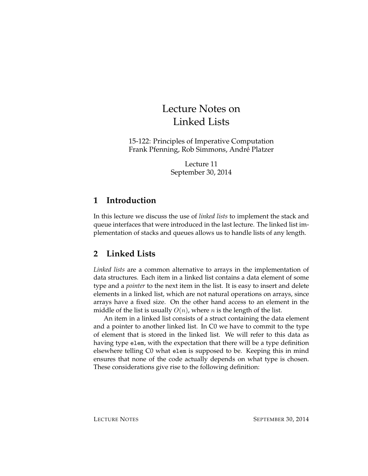# Lecture Notes on Linked Lists

15-122: Principles of Imperative Computation Frank Pfenning, Rob Simmons, Andre Platzer ´

> Lecture 11 September 30, 2014

# **1 Introduction**

In this lecture we discuss the use of *linked lists* to implement the stack and queue interfaces that were introduced in the last lecture. The linked list implementation of stacks and queues allows us to handle lists of any length.

# **2 Linked Lists**

*Linked lists* are a common alternative to arrays in the implementation of data structures. Each item in a linked list contains a data element of some type and a *pointer* to the next item in the list. It is easy to insert and delete elements in a linked list, which are not natural operations on arrays, since arrays have a fixed size. On the other hand access to an element in the middle of the list is usually  $O(n)$ , where n is the length of the list.

An item in a linked list consists of a struct containing the data element and a pointer to another linked list. In C0 we have to commit to the type of element that is stored in the linked list. We will refer to this data as having type elem, with the expectation that there will be a type definition elsewhere telling C0 what elem is supposed to be. Keeping this in mind ensures that none of the code actually depends on what type is chosen. These considerations give rise to the following definition: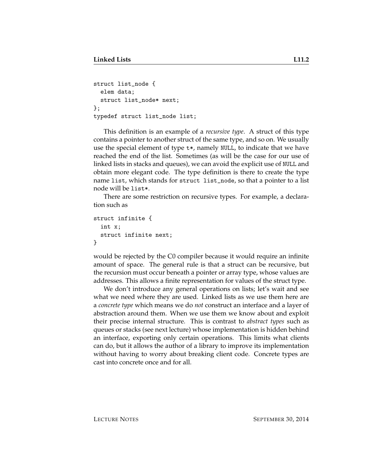```
struct list_node {
  elem data;
  struct list_node* next;
};
typedef struct list_node list;
```
This definition is an example of a *recursive type*. A struct of this type contains a pointer to another struct of the same type, and so on. We usually use the special element of type t\*, namely NULL, to indicate that we have reached the end of the list. Sometimes (as will be the case for our use of linked lists in stacks and queues), we can avoid the explicit use of NULL and obtain more elegant code. The type definition is there to create the type name list, which stands for struct list\_node, so that a pointer to a list node will be list\*.

There are some restriction on recursive types. For example, a declaration such as

```
struct infinite {
  int x;
  struct infinite next;
}
```
would be rejected by the C0 compiler because it would require an infinite amount of space. The general rule is that a struct can be recursive, but the recursion must occur beneath a pointer or array type, whose values are addresses. This allows a finite representation for values of the struct type.

We don't introduce any general operations on lists; let's wait and see what we need where they are used. Linked lists as we use them here are a *concrete type* which means we do *not* construct an interface and a layer of abstraction around them. When we use them we know about and exploit their precise internal structure. This is contrast to *abstract types* such as queues or stacks (see next lecture) whose implementation is hidden behind an interface, exporting only certain operations. This limits what clients can do, but it allows the author of a library to improve its implementation without having to worry about breaking client code. Concrete types are cast into concrete once and for all.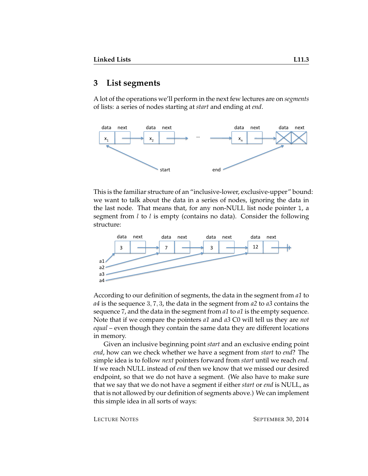### **3 List segments**

A lot of the operations we'll perform in the next few lectures are on *segments* of lists: a series of nodes starting at *start* and ending at *end*.



This is the familiar structure of an "inclusive-lower, exclusive-upper" bound: we want to talk about the data in a series of nodes, ignoring the data in the last node. That means that, for any non-NULL list node pointer l, a segment from  $l$  to  $l$  is empty (contains no data). Consider the following structure:



According to our definition of segments, the data in the segment from *a1* to *a4* is the sequence 3, 7, 3, the data in the segment from *a2* to *a3* contains the sequence 7, and the data in the segment from *a1* to *a1* is the empty sequence. Note that if we compare the pointers *a1* and *a3* C0 will tell us they are *not equal* – even though they contain the same data they are different locations in memory.

Given an inclusive beginning point *start* and an exclusive ending point *end*, how can we check whether we have a segment from *start* to *end*? The simple idea is to follow *next* pointers forward from *start* until we reach *end*. If we reach NULL instead of *end* then we know that we missed our desired endpoint, so that we do not have a segment. (We also have to make sure that we say that we do not have a segment if either *start* or *end* is NULL, as that is not allowed by our definition of segments above.) We can implement this simple idea in all sorts of ways: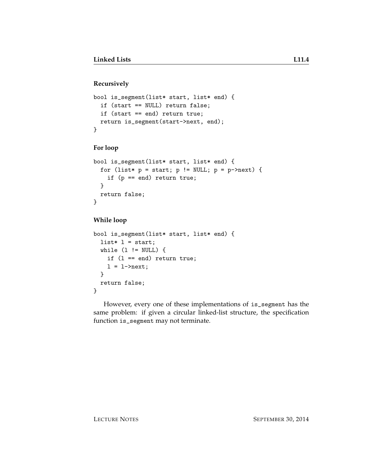#### **Recursively**

```
bool is_segment(list* start, list* end) {
  if (start == NULL) return false;
  if (start == end) return true;
  return is_segment(start->next, end);
}
```
#### **For loop**

```
bool is_segment(list* start, list* end) {
 for (list* p = start; p == NULL; p = p->next) {
    if (p == end) return true;
 }
 return false;
}
```
#### **While loop**

```
bool is_segment(list* start, list* end) {
 list* l = start;while (1 \cdot = NULL) {
    if (l == end) return true;
    l = l->next;
 }
 return false;
}
```
However, every one of these implementations of is\_segment has the same problem: if given a circular linked-list structure, the specification function is\_segment may not terminate.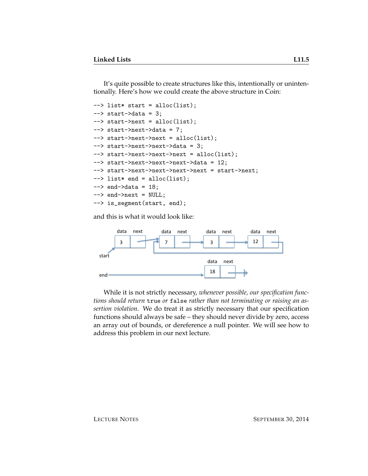It's quite possible to create structures like this, intentionally or unintentionally. Here's how we could create the above structure in Coin:

```
--> list* start = alloc(list);
\leftarrow start->data = 3;
--> start->next = alloc(list);
\leftarrow start->next->data = 7;
--> start->next->next = alloc(list);
--> start->next->next->data = 3;
--> start->next->next->next = alloc(list);
--> start->next->next->next->data = 12;
--> start->next->next->next->next = start->next;
--> list* end = alloc(list);
\leftarrow > end->data = 18;
\leftarrow > end->next = NULL;
--> is_segment(start, end);
```
and this is what it would look like:



While it is not strictly necessary, *whenever possible, our specification functions should return* true *or* false *rather than not terminating or raising an assertion violation*. We do treat it as strictly necessary that our specification functions should always be safe – they should never divide by zero, access an array out of bounds, or dereference a null pointer. We will see how to address this problem in our next lecture.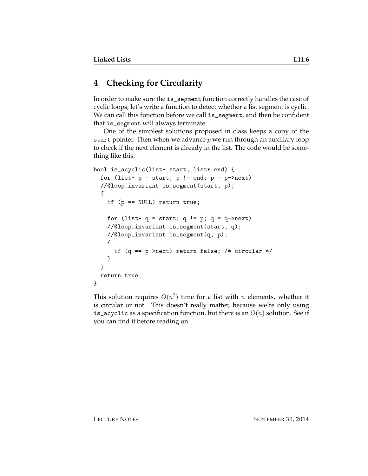# **4 Checking for Circularity**

In order to make sure the is\_segment function correctly handles the case of cyclic loops, let's write a function to detect whether a list segment is cyclic. We can call this function before we call is\_segment, and then be confident that is\_segment will always terminate.

One of the simplest solutions proposed in class keeps a copy of the start pointer. Then when we advance  $p$  we run through an auxiliary loop to check if the next element is already in the list. The code would be something like this:

```
bool is_acyclic(list* start, list* end) {
  for (list* p = start; p == end; p = p->next)
  //@loop_invariant is_segment(start, p);
  {
    if (p == NULL) return true;
   for (list* q = start; q != p; q = q->next)
   //@loop_invariant is_segment(start, q);
   //@loop_invariant is_segment(q, p);
    {
      if (q == p->next) return false; /* circular */
   }
  }
  return true;
}
```
This solution requires  $O(n^2)$  time for a list with  $n$  elements, whether it is circular or not. This doesn't really matter, because we're only using is\_acyclic as a specification function, but there is an  $O(n)$  solution. See if you can find it before reading on.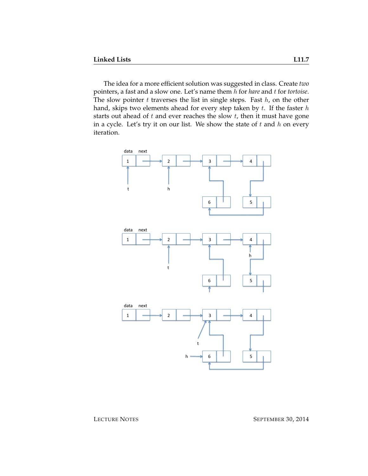The idea for a more efficient solution was suggested in class. Create *two* pointers, a fast and a slow one. Let's name them h for *hare* and t for *tortoise*. The slow pointer  $t$  traverses the list in single steps. Fast  $h$ , on the other hand, skips two elements ahead for every step taken by  $t$ . If the faster  $h$ starts out ahead of  $t$  and ever reaches the slow  $t$ , then it must have gone in a cycle. Let's try it on our list. We show the state of  $t$  and  $h$  on every iteration.



LECTURE NOTES SEPTEMBER 30, 2014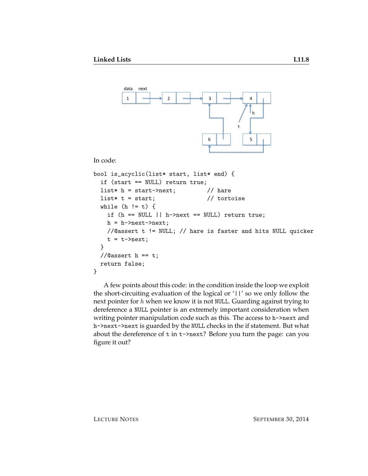

In code:

```
bool is_acyclic(list* start, list* end) {
 if (start == NULL) return true;
 list* h = start->next; // hare
 list* t = start; // totoisewhile (h != t) {
   if (h == NULL || h->next == NULL) return true;
   h = h->next->next;
   //@assert t != NULL; // hare is faster and hits NULL quicker
   t = t->next;
 }
 //\alphaassert h == t;
 return false;
}
```
A few points about this code: in the condition inside the loop we exploit the short-circuiting evaluation of the logical or '||' so we only follow the next pointer for  $h$  when we know it is not NULL. Guarding against trying to dereference a NULL pointer is an extremely important consideration when writing pointer manipulation code such as this. The access to h->next and h->next->next is guarded by the NULL checks in the if statement. But what about the dereference of t in t->next? Before you turn the page: can you figure it out?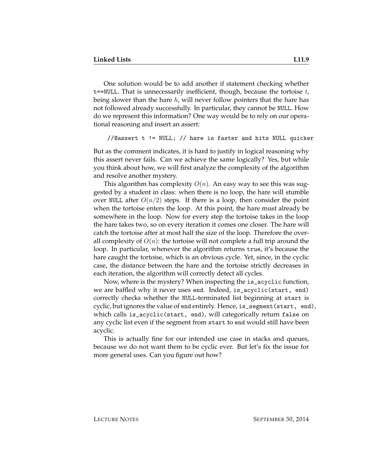One solution would be to add another if statement checking whether  $t$ ==NULL. That is unnecessarily inefficient, though, because the tortoise  $t$ , being slower than the hare  $h$ , will never follow pointers that the hare has not followed already successfully. In particular, they cannot be NULL. How do we represent this information? One way would be to rely on our operational reasoning and insert an assert:

```
//@assert t != NULL; // hare is faster and hits NULL quicker
```
But as the comment indicates, it is hard to justify in logical reasoning why this assert never fails. Can we achieve the same logically? Yes, but while you think about how, we will first analyze the complexity of the algorithm and resolve another mystery.

This algorithm has complexity  $O(n)$ . An easy way to see this was suggested by a student in class: when there is no loop, the hare will stumble over NULL after  $O(n/2)$  steps. If there is a loop, then consider the point when the tortoise enters the loop. At this point, the hare must already be somewhere in the loop. Now for every step the tortoise takes in the loop the hare takes two, so on every iteration it comes one closer. The hare will catch the tortoise after at most half the size of the loop. Therefore the overall complexity of  $O(n)$ : the tortoise will not complete a full trip around the loop. In particular, whenever the algorithm returns true, it's because the hare caught the tortoise, which is an obvious cycle. Yet, since, in the cyclic case, the distance between the hare and the tortoise strictly decreases in each iteration, the algorithm will correctly detect all cycles.

Now, where is the mystery? When inspecting the is\_acyclic function, we are baffled why it never uses end. Indeed, is\_acyclic(start, end) correctly checks whether the NULL-terminated list beginning at start is cyclic, but ignores the value of end entirely. Hence, is\_segment(start, end), which calls is\_acyclic(start, end), will categorically return false on any cyclic list even if the segment from start to end would still have been acyclic.

This is actually fine for our intended use case in stacks and queues, because we do not want them to be cyclic ever. But let's fix the issue for more general uses. Can you figure out how?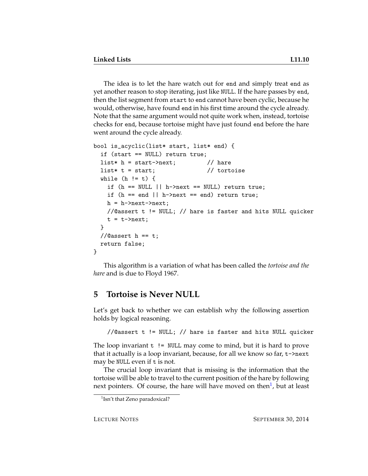The idea is to let the hare watch out for end and simply treat end as yet another reason to stop iterating, just like NULL. If the hare passes by end, then the list segment from start to end cannot have been cyclic, because he would, otherwise, have found end in his first time around the cycle already. Note that the same argument would not quite work when, instead, tortoise checks for end, because tortoise might have just found end before the hare went around the cycle already.

```
bool is_acyclic(list* start, list* end) {
 if (start == NULL) return true;
 list* h = start->next; // hare
 list* t = start; // totoisewhile (h != t) {
   if (h == NULL || h->next == NULL) return true;
   if (h == end || h->next == end) return true;h = h->next->next;
   //@assert t != NULL; // hare is faster and hits NULL quicker
   t = t->next;
 }
 //\alphaassert h == t;
 return false;
}
```
This algorithm is a variation of what has been called the *tortoise and the hare* and is due to Floyd 1967.

### **5 Tortoise is Never NULL**

Let's get back to whether we can establish why the following assertion holds by logical reasoning.

//@assert t != NULL; // hare is faster and hits NULL quicker

The loop invariant  $t$  != NULL may come to mind, but it is hard to prove that it actually is a loop invariant, because, for all we know so far, t->next may be NULL even if t is not.

The crucial loop invariant that is missing is the information that the tortoise will be able to travel to the current position of the hare by following next pointers. Of course, the hare will have moved on then<sup>[1](#page-9-0)</sup>, but at least

<span id="page-9-0"></span><sup>&</sup>lt;sup>1</sup>Isn't that Zeno paradoxical?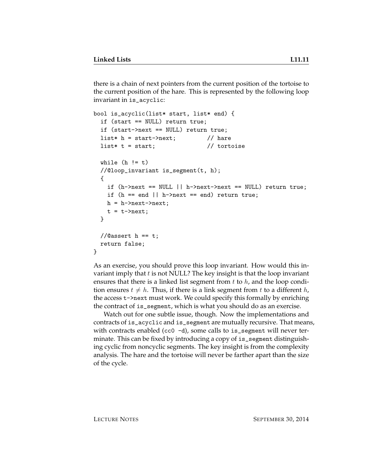there is a chain of next pointers from the current position of the tortoise to the current position of the hare. This is represented by the following loop invariant in is\_acyclic:

```
bool is_acyclic(list* start, list* end) {
 if (start == NULL) return true;
 if (start->next == NULL) return true;
 list* h = start->next; // hare
 list* t = start; \frac{1}{10} tortoise
 while (h := t)//@loop_invariant is_segment(t, h);
 {
   if (h->next == NULL || h->next->next == NULL) return true;
   if (h == end || h->next == end) return true;h = h->next->next;
   t = t->next;
 }
 //\alphaassert h == t;
 return false;
}
```
As an exercise, you should prove this loop invariant. How would this invariant imply that  $t$  is not NULL? The key insight is that the loop invariant ensures that there is a linked list segment from  $t$  to  $h$ , and the loop condition ensures  $t \neq h$ . Thus, if there is a link segment from t to a different h, the access t->next must work. We could specify this formally by enriching the contract of is\_segment, which is what you should do as an exercise.

Watch out for one subtle issue, though. Now the implementations and contracts of is\_acyclic and is\_segment are mutually recursive. That means, with contracts enabled (cc0 -d), some calls to is\_segment will never terminate. This can be fixed by introducing a copy of is\_segment distinguishing cyclic from noncyclic segments. The key insight is from the complexity analysis. The hare and the tortoise will never be farther apart than the size of the cycle.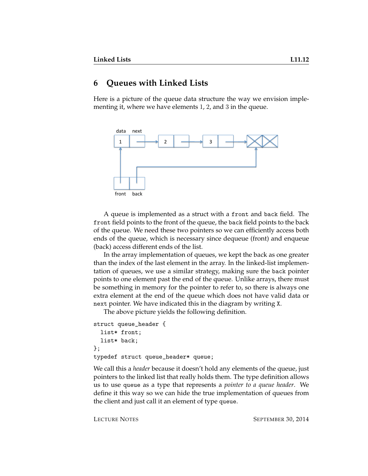### **6 Queues with Linked Lists**

Here is a picture of the queue data structure the way we envision implementing it, where we have elements 1, 2, and 3 in the queue.



A queue is implemented as a struct with a front and back field. The front field points to the front of the queue, the back field points to the back of the queue. We need these two pointers so we can efficiently access both ends of the queue, which is necessary since dequeue (front) and enqueue (back) access different ends of the list.

In the array implementation of queues, we kept the back as one greater than the index of the last element in the array. In the linked-list implementation of queues, we use a similar strategy, making sure the back pointer points to one element past the end of the queue. Unlike arrays, there must be something in memory for the pointer to refer to, so there is always one extra element at the end of the queue which does not have valid data or next pointer. We have indicated this in the diagram by writing X.

The above picture yields the following definition.

```
struct queue_header {
  list* front;
  list* back;
};
typedef struct queue_header* queue;
```
We call this a *header* because it doesn't hold any elements of the queue, just pointers to the linked list that really holds them. The type definition allows us to use queue as a type that represents a *pointer to a queue header*. We define it this way so we can hide the true implementation of queues from the client and just call it an element of type queue.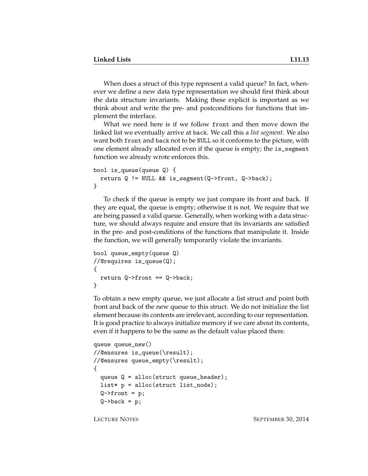When does a struct of this type represent a valid queue? In fact, whenever we define a new data type representation we should first think about the data structure invariants. Making these explicit is important as we think about and write the pre- and postconditions for functions that implement the interface.

What we need here is if we follow front and then move down the linked list we eventually arrive at back. We call this a *list segment*. We also want both front and back not to be NULL so it conforms to the picture, with one element already allocated even if the queue is empty; the is\_segment function we already wrote enforces this.

```
bool is_queue(queue Q) {
  return Q != NULL && is_segment(Q->front, Q->back);
}
```
To check if the queue is empty we just compare its front and back. If they are equal, the queue is empty; otherwise it is not. We require that we are being passed a valid queue. Generally, when working with a data structure, we should always require and ensure that its invariants are satisfied in the pre- and post-conditions of the functions that manipulate it. Inside the function, we will generally temporarily violate the invariants.

```
bool queue_empty(queue Q)
//@requires is_queue(Q);
{
  return Q \rightarrow front == Q \rightarrow back;
}
```
To obtain a new empty queue, we just allocate a list struct and point both front and back of the new queue to this struct. We do not initialize the list element because its contents are irrelevant, according to our representation. It is good practice to always initialize memory if we care about its contents, even if it happens to be the same as the default value placed there.

```
queue queue_new()
//@ensures is_queue(\result);
//@ensures queue_empty(\result);
{
  queue Q = alloc(struct queue_header);
  list* p = <math>alloc(struct list_model);</math>Q \rightarrow front = p;Q->back = p;
```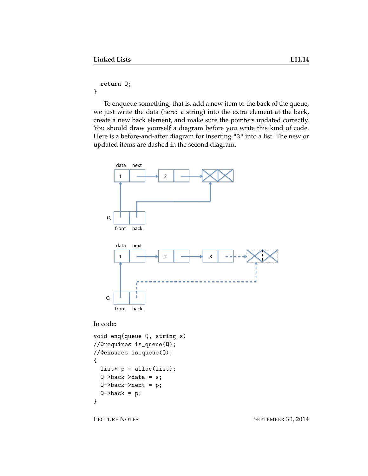return Q;

}

To enqueue something, that is, add a new item to the back of the queue, we just write the data (here: a string) into the extra element at the back, create a new back element, and make sure the pointers updated correctly. You should draw yourself a diagram before you write this kind of code. Here is a before-and-after diagram for inserting "3" into a list. The new or updated items are dashed in the second diagram.



In code:

```
void enq(queue Q, string s)
//@requires is_queue(Q);
//@ensures is_queue(Q);
{
  list* p = \text{alloc}(list);
  Q->back->data = s;
  Q->back->next = p;
  Q->back = p;
}
```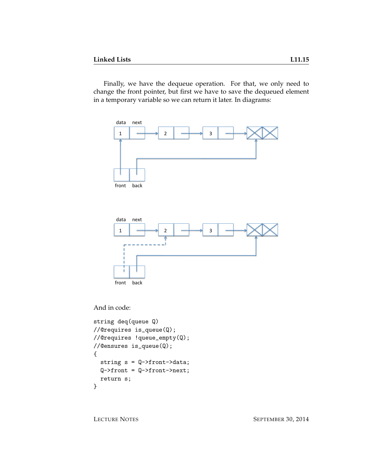Finally, we have the dequeue operation. For that, we only need to change the front pointer, but first we have to save the dequeued element in a temporary variable so we can return it later. In diagrams:



And in code:

```
string deq(queue Q)
//@requires is_queue(Q);
//@requires !queue_empty(Q);
//@ensures is_queue(Q);
{
  string s = Q->front->data;
  Q \rightarrow front = Q \rightarrow front \rightarrow next;return s;
}
```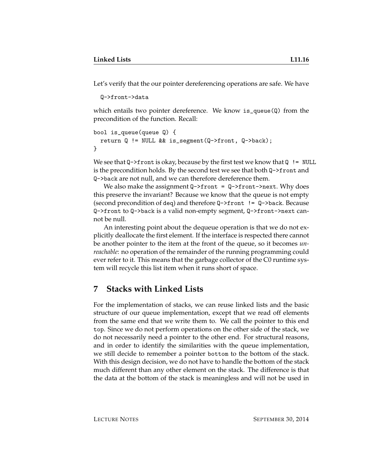Let's verify that the our pointer dereferencing operations are safe. We have

```
Q->front->data
```
which entails two pointer dereference. We know is queue(Q) from the precondition of the function. Recall:

```
bool is_queue(queue Q) {
  return Q != NULL && is_segment(Q->front, Q->back);
}
```
We see that  $Q \rightarrow$  front is okay, because by the first test we know that  $Q$  != NULL is the precondition holds. By the second test we see that both Q->front and Q->back are not null, and we can therefore dereference them.

We also make the assignment  $Q \rightarrow front = Q \rightarrow front \rightarrow next$ . Why does this preserve the invariant? Because we know that the queue is not empty (second precondition of deq) and therefore Q->front != Q->back. Because Q->front to Q->back is a valid non-empty segment, Q->front->next cannot be null.

An interesting point about the dequeue operation is that we do not explicitly deallocate the first element. If the interface is respected there cannot be another pointer to the item at the front of the queue, so it becomes *unreachable*: no operation of the remainder of the running programming could ever refer to it. This means that the garbage collector of the C0 runtime system will recycle this list item when it runs short of space.

### **7 Stacks with Linked Lists**

For the implementation of stacks, we can reuse linked lists and the basic structure of our queue implementation, except that we read off elements from the same end that we write them to. We call the pointer to this end top. Since we do not perform operations on the other side of the stack, we do not necessarily need a pointer to the other end. For structural reasons, and in order to identify the similarities with the queue implementation, we still decide to remember a pointer bottom to the bottom of the stack. With this design decision, we do not have to handle the bottom of the stack much different than any other element on the stack. The difference is that the data at the bottom of the stack is meaningless and will not be used in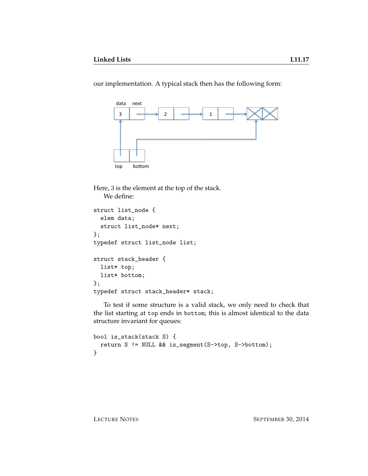our implementation. A typical stack then has the following form:



Here, 3 is the element at the top of the stack. We define:

```
struct list_node {
  elem data;
  struct list_node* next;
};
typedef struct list_node list;
struct stack_header {
 list* top;
 list* bottom;
};
typedef struct stack_header* stack;
```
To test if some structure is a valid stack, we only need to check that the list starting at top ends in bottom; this is almost identical to the data structure invariant for queues:

```
bool is_stack(stack S) {
  return S != NULL && is_segment(S->top, S->bottom);
}
```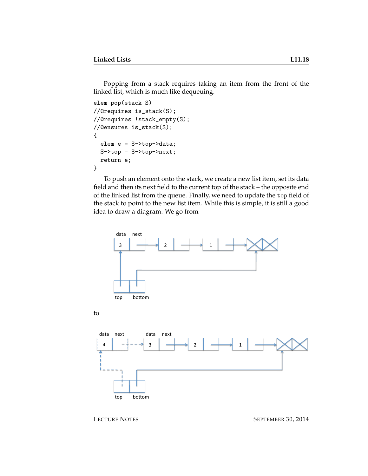Popping from a stack requires taking an item from the front of the linked list, which is much like dequeuing.

```
elem pop(stack S)
//@requires is_stack(S);
//@requires !stack_empty(S);
//@ensures is_stack(S);
{
  elem e = S->top->data;
  S->top = S->top->next;return e;
}
```
To push an element onto the stack, we create a new list item, set its data field and then its next field to the current top of the stack – the opposite end of the linked list from the queue. Finally, we need to update the top field of the stack to point to the new list item. While this is simple, it is still a good idea to draw a diagram. We go from